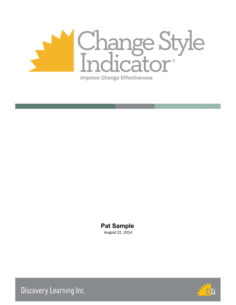

# **Pat Sample**

August 22, 2014



Discovery Learning Inc.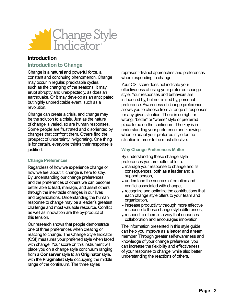

# **Introduction**

# **Introduction to Change**

Change is a natural and powerful force, a constant and continuing phenomenon. Change may occur in regular, predictable cycles, such as the changing of the seasons. It may erupt abruptly and unexpectedly, as does an earthquake. Or it may develop as an anticipated but highly unpredictable event, such as a revolution.

Change can create a crisis, and change may be the solution to a crisis. Just as the nature of change is varied, so are human responses. Some people are frustrated and disoriented by changes that confront them. Others find the prospect of uncertainty invigorating. One thing is for certain, everyone thinks their response is justified.

# **Change Preferences**

Regardless of how we experience change or how we feel about it, change is here to stay. By understanding our change preferences and the preferences of others we can become better able to lead, manage, and assist others through the inevitable changes in our lives and organizations. Understanding the human response to change may be a leader's greatest challenge and most valuable resource. Conflict as well as innovation are the by-product of this tension.

Our research shows that people demonstrate one of three preferences when creating or reacting to change. The Change Style Indicator (CSI) measures your preferred style when faced with change. Your score on this instrument will place you on a change style continuum ranging from a **Conserver** style to an **Originator** style, with the **Pragmatist** style occupying the middle range of the continuum. The three styles

represent distinct approaches and preferences when responding to change.

Your CSI score does not indicate your effectiveness at using your preferred change style. Your responses and behaviors are influenced by, but not limited by, personal preference. Awareness of change preference allows you to choose from a range of responses for any given situation. There is no right or wrong, "better" or "worse" style or preferred place to be on the continuum. The key is in understanding your preference and knowing when to adapt your preferred style for the situation in order to be most effective.

# **Why Change Preferences Matter**

By understanding these change style preferences you are better able to:

- manage your response to change and its £ consequences, both as a leader and a support person,
- understand the sources of emotion and £ conflict associated with change,
- $\blacktriangleright$  recognize and optimize the contributions that each change style offers to your team and organization,
- $\blacktriangleright$  increase productivity through more effective response to these change style differences,
- $\blacktriangleright$  respond to others in a way that enhances collaboration and encourages innovation.

The information presented in this style guide can help you improve as a leader and a team member. Through greater self-awareness and knowledge of your change preference, you can increase the flexibility and effectiveness of your response to change, while also better understanding the reactions of others.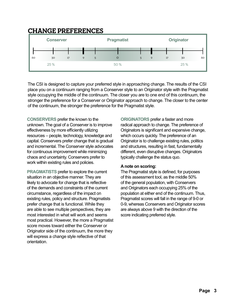# **Change Preferences**



The CSI is designed to capture your preferred style in approaching change. The results of the CSI place you on a continuum ranging from a Conserver style to an Originator style with the Pragmatist style occupying the middle of the continuum. The closer you are to one end of this continuum, the stronger the preference for a Conserver or Originator approach to change. The closer to the center of the continuum, the stronger the preference for the Pragmatist style.

**CONSERVERS** prefer the known to the unknown. The goal of a Conserver is to improve effectiveness by more efficiently utilizing resources – people, technology, knowledge and capital. Conservers prefer change that is gradual and incremental. The Conserver style advocates for continuous improvement while minimizing chaos and uncertainty. Conservers prefer to work within existing rules and policies.

**PRAGMATISTS** prefer to explore the current situation in an objective manner. They are likely to advocate for change that is reflective of the demands and constraints of the current circumstance, regardless of the impact on existing rules, policy and structure. Pragmatists prefer change that is functional. While they are able to see multiple perspectives, they are most interested in what will work and seems most practical. However, the more a Pragmatist score moves toward either the Conserver or Originator side of the continuum, the more they will express a change style reflective of that orientation.

**ORIGINATORS** prefer a faster and more radical approach to change. The preference of Originators is significant and expansive change, which occurs quickly. The preference of an Originator is to challenge existing rules, politics and structures, resulting in fast, fundamentally different, even disruptive changes. Originators typically challenge the status quo.

#### **A note on scoring:**

The Pragmatist style is defined, for purposes of this assessment tool, as the middle 50% of the general population, with Conservers and Originators each occupying 25% of the population at either end of the continuum. Thus, Pragmatist scores will fall in the range of 9-0 or 0-9, whereas Conservers and Originator scores are always above 9 with the direction of the score indicating preferred style.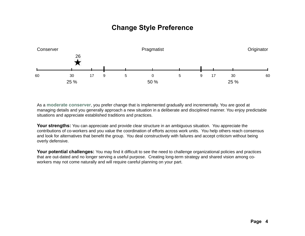# **Change Style Preference**



As a **moderate conserver**, you prefer change that is implemented gradually and incrementally. You are good at managing details and you generally approach a new situation in a deliberate and disciplined manner. You enjoy predictable situations and appreciate established traditions and practices.

**Your strengths:** You can appreciate and provide clear structure in an ambiguous situation. You appreciate the contributions of co-workers and you value the coordination of efforts across work units. You help others reach consensus and look for alternatives that benefit the group. You deal constructively with failures and accept criticism without being overly defensive.

Your potential challenges: You may find it difficult to see the need to challenge organizational policies and practices that are out-dated and no longer serving a useful purpose. Creating long-term strategy and shared vision among coworkers may not come naturally and will require careful planning on your part.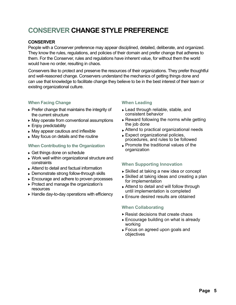# **CONSERVER Change Style Preference**

# **CONSERVER**

People with a Conserver preference may appear disciplined, detailed, deliberate, and organized. They know the rules, regulations, and policies of their domain and prefer change that adheres to them. For the Conserver, rules and regulations have inherent value, for without them the world would have no order, resulting in chaos.

Conservers like to protect and preserve the resources of their organizations. They prefer thoughtful and well-reasoned change. Conservers understand the mechanics of getting things done and can use that knowledge to facilitate change they believe to be in the best interest of their team or existing organizational culture.

# **When Facing Change**

- $\blacktriangleright$  Prefer change that maintains the integrity of the current structure
- ► May operate from conventional assumptions
- Enjoy predictability £
- May appear cautious and inflexible £
- ► May focus on details and the routine

# **When Contributing to the Organization**

- Get things done on schedule £
- ► Work well within organizational structure and constraints
- ► Attend to detail and factual information
- Demonstrate strong follow-through skills £
- Encourage and adhere to proven processes £
- ► Protect and manage the organization's resources
- ► Handle day-to-day operations with efficiency

# **When Leading**

- ► Lead through reliable, stable, and consistent behavior
- ► Reward following the norms while getting the job done
- ► Attend to practical organizational needs
- Expect organizational policies, £ procedures, and rules to be followed
- $\blacktriangleright$  Promote the traditional values of the organization

# **When Supporting Innovation**

- ► Skilled at taking a new idea or concept
- ► Skilled at taking ideas and creating a plan for implementation
- ► Attend to detail and will follow through until implementation is completed
- ► Ensure desired results are obtained

# **When Collaborating**

- ► Resist decisions that create chaos
- ► Encourage building on what is already working
- Focus on agreed upon goals and £ objectives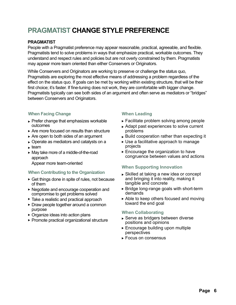# **PRAGMATIST Change Style Preference**

# **PRAGMATIST**

People with a Pragmatist preference may appear reasonable, practical, agreeable, and flexible. Pragmatists tend to solve problems in ways that emphasize practical, workable outcomes. They understand and respect rules and policies but are not overly constrained by them. Pragmatists may appear more team oriented than either Conservers or Originators.

While Conservers and Originators are working to preserve or challenge the status quo, Pragmatists are exploring the most effective means of addressing a problem regardless of the effect on the status quo. If goals can be met by working within existing structure, that will be their first choice; it's faster. If fine-tuning does not work, they are comfortable with bigger change. Pragmatists typically can see both sides of an argument and often serve as mediators or "bridges" between Conservers and Originators.

# **When Facing Change**

- ► Prefer change that emphasizes workable outcomes
- ► Are more focused on results than structure
- $\blacktriangleright$  Are open to both sides of an argument
- Operate as mediators and catalysts on a £
- $\blacktriangleright$  team
- ► May take more of a middle-of-the-road approach
	- Appear more team-oriented

# **When Contributing to the Organization**

- ► Get things done in spite of rules, not because of them
- Negotiate and encourage cooperation and £ compromise to get problems solved
- **Take a realistic and practical approach**
- ► Draw people together around a common purpose
- ► Organize ideas into action plans
- ▶ Promote practical organizational structure

# **When Leading**

- Facilitate problem solving among people £
- ► Adapt past experiences to solve current problems
- $\blacktriangleright$  Build cooperation rather than expecting it
- ► Use a facilitative approach to manage projects
- ► Encourage the organization to have congruence between values and actions

# **When Supporting Innovation**

- ► Skilled at taking a new idea or concept and bringing it into reality, making it tangible and concrete
- ► Bridge long-range goals with short-term demands
- ► Able to keep others focused and moving toward the end goal

# **When Collaborating**

- ► Serve as bridgers between diverse positions and opinions
- Encourage building upon multiple £ perspectives
- ► Focus on consensus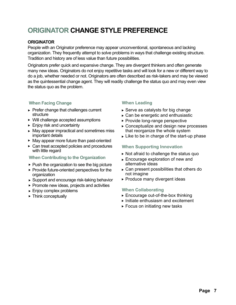# **ORIGINATOR Change Style Preference**

#### **ORIGINATOR**

People with an Originator preference may appear unconventional, spontaneous and lacking organization. They frequently attempt to solve problems in ways that challenge existing structure. Tradition and history are of less value than future possibilities.

Originators prefer quick and expansive change. They are divergent thinkers and often generate many new ideas. Originators do not enjoy repetitive tasks and will look for a new or different way to do a job, whether needed or not. Originators are often described as risk-takers and may be viewed as the quintessential change agent. They will readily challenge the status quo and may even view the status quo as the problem.

# **When Facing Change**

- $\blacktriangleright$  Prefer change that challenges current structure
- ▶ Will challenge accepted assumptions
- ► Enjoy risk and uncertainty
- ► May appear impractical and sometimes miss important details
- **May appear more future than past-oriented**
- ► Can treat accepted policies and procedures with little regard

#### **When Contributing to the Organization**

- $\blacktriangleright$  Push the organization to see the big picture
- $\blacktriangleright$  Provide future-oriented perspectives for the organization
- ► Support and encourage risk-taking behavior
- ▶ Promote new ideas, projects and activities
- Enjoy complex problems £
- **Finnk conceptually**

# **When Leading**

- $\blacktriangleright$  Serve as catalysts for big change
- ► Can be energetic and enthusiastic
- ► Provide long-range perspective
- ► Conceptualize and design new processes that reorganize the whole system
- $\blacktriangleright$  Like to be in charge of the start-up phase

# **When Supporting Innovation**

- ► Not afraid to challenge the status quo
- Encourage exploration of new and £ alternative ideas
- $\blacktriangleright$  Can present possibilities that others do not imagine
- ► Produce many divergent ideas

#### **When Collaborating**

- ► Encourage out-of-the-box thinking
- $\blacktriangleright$  Initiate enthusiasm and excitement
- $\blacktriangleright$  Focus on initiating new tasks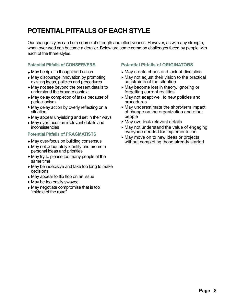# **Potential Pitfalls of Each Style**

Our change styles can be a source of strength and effectiveness. However, as with any strength, when overused can become a derailer. Below are some common challenges faced by people with each of the three styles.

# **Potential Pitfalls of CONSERVERS**

- ► May be rigid in thought and action
- May discourage innovation by promoting £ existing ideas, policies and procedures
- ► May not see beyond the present details to understand the broader context
- ► May delay completion of tasks because of perfectionism
- ► May delay action by overly reflecting on a situation
- ► May appear unyielding and set in their ways
- May over-focus on irrelevant details and £ inconsistencies

# **Potential Pitfalls of PRAGMATISTS**

- May over-focus on building consensus £
- May not adequately identify and promote £ personal ideas and priorities
- ► May try to please too many people at the same time
- ► May be indecisive and take too long to make decisions
- ► May appear to flip flop on an issue
- ► May be too easily swayed
- ► May negotiate compromise that is too "middle of the road"

# **Potential Pitfalls of ORIGINATORS**

- ► May create chaos and lack of discipline
- $\blacktriangleright$  May not adjust their vision to the practical constraints of the situation
- ► May become lost in theory, ignoring or forgetting current realities
- ► May not adapt well to new policies and procedures
- ► May underestimate the short-term impact of change on the organization and other people
- ► May overlook relevant details
- ► May not understand the value of engaging everyone needed for implementation
- ► May move on to new ideas or projects without completing those already started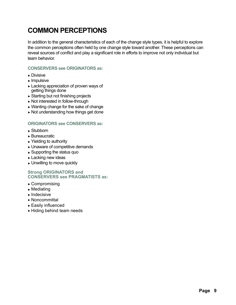# **Common Perceptions**

In addition to the general characteristics of each of the change style types, it is helpful to explore the common perceptions often held by one change style toward another. These perceptions can reveal sources of conflict and play a significant role in efforts to improve not only individual but team behavior.

#### **CONSERVERS see ORIGINATORS as:**

- ► Divisive
- $\blacktriangleright$  Impulsive
- ► Lacking appreciation of proven ways of getting things done
- Starting but not finishing projects £
- ► Not interested in follow-through
- Wanting change for the sake of change £
- ► Not understanding how things get done

### **ORIGINATORS see CONSERVERS as:**

- ► Stubborn
- ► Bureaucratic
- ► Yielding to authority
- Unaware of competitive demands £
- ► Supporting the status quo
- ► Lacking new ideas
- Unwilling to move quickly £

#### **Strong ORIGINATORS and CONSERVERS see PRAGMATISTS as:**

- ► Compromising
- $\blacktriangleright$  Mediating
- $\blacktriangleright$  Indecisive
- ► Noncommittal
- $\blacktriangleright$  Easily influenced
- ► Hiding behind team needs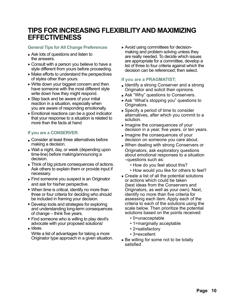# **Tips for Increasing Flexibility and Maximizing Effectiveness**

#### **General Tips for All Change Preferences**

- ► Ask lots of questions and listen to the answers.
- $\blacktriangleright$  Consult with a person you believe to have a style different from yours before proceeding.
- ► Make efforts to understand the perspectives of styles other than yours.
- ► Write down your biggest concern and then have someone with the most different style write down how they might respond.
- ► Step back and be aware of your initial reaction in a situation, especially when you are aware of responding emotionally.
- Emotional reactions can be a good indicator £ that your response to a situation is related to more than the facts at hand

#### **If you are a CONSERVER:**

- Consider at least three alternatives before £ making a decision.
- ► Wait a night, day, or week (depending upon time-line) before making/announcing a decision.
- ► Think of big picture consequences of actions. Ask others to explain them or provide input if necessary.
- ► Find someone you suspect is an Originator and ask for his/her perspective.
- ▶ When time is critical, identify no more than three or four criteria for deciding who should be included in framing your decision.
- **Develop tools and strategies for exploring** and understanding long-term consequences of change – think five years.
- ► Find someone who is willing to play devil's advocate with your proposed solutions/
- ► ideas. Write a list of advantages for taking a more
	- Originator type approach in a given situation.

Avoid using committees for decision-£ making and problem solving unless they are really needed. To decide which issues are appropriate for a committee, develop a list of three to four criteria against which the decision can be referenced; then select.

# **If you are a PRAGMATIST;**

- Identify a strong Conserver and a strong  $\sim$ Originator and solicit their opinions.
- Ask "Why" questions to Conservers. £
- ► Ask "What's stopping you" questions to Originators.
- ► Specify a period of time to consider alternatives, after which you commit to a solution.
- ► Imagine the consequences of your decision in a year, five years, or ten years.
- ► Imagine the consequences of your decision on someone you care about.
- When dealing with strong Conservers or £ Originators, ask exploratory questions about emotional responses to a situation –questions such as:
	- How do you feel about this?
	- How would you like for others to feel?
- $\triangleright$  Create a list of all the potential solutions or actions which could be taken (best ideas from the Conservers and Originators, as well as your own). Next, identify no more than five criteria for assessing each item. Apply each of the criteria to each of the solutions using the scale below. Then prioritize the potential solutions based on the points received:
	- 0=unacceptable
	- 1=marginally acceptable
	- 2=satisfactory
	- 3=excellent
- ► Be willing for some not to be totally satisfied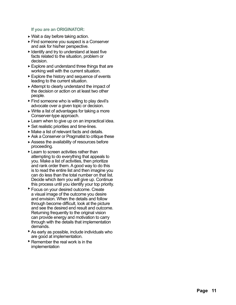#### **If you are an ORIGINATOR:**

- ► Wait a day before taking action.
- **Find someone you suspect is a Conserver** and ask for his/her perspective.
- $\blacktriangleright$  Identify and try to understand at least five facts related to the situation, problem or decision.
- ► Explore and understand three things that are working well with the current situation.
- ► Explore the history and sequence of events leading to the current situation.
- $\blacktriangleright$  Attempt to clearly understand the impact of the decision or action on at least two other people.
- ► Find someone who is willing to play devil's advocate over a given topic or decision.
- $\blacktriangleright$  Write a list of advantages for taking a more Conserver-type approach.
- ► Learn when to give up on an impractical idea.
- ► Set realistic priorities and time-lines.
- ► Make a list of relevant facts and details.
- ▶ Ask a Conserver or Pragmatist to critique these
- Assess the availability of resources before £ proceeding.
- ► Learn to screen activities rather than attempting to do everything that appeals to you. Make a list of activities, then prioritize and rank order them. A good way to do this is to read the entire list and then imagine you can do less than the total number on that list. Decide which item you will give up. Continue this process until you identify your top priority.
- **Focus on your desired outcome. Create** a visual image of the outcome you desire and envision. When the details and follow through become difficult, look at the picture and see the desired end result and outcome. Returning frequently to the original vision can provide energy and motivation to carry through with the details that implementation demands.
- **As early as possible, include individuals who** are good at implementation.
- $\blacktriangleright$  Remember the real work is in the implementation